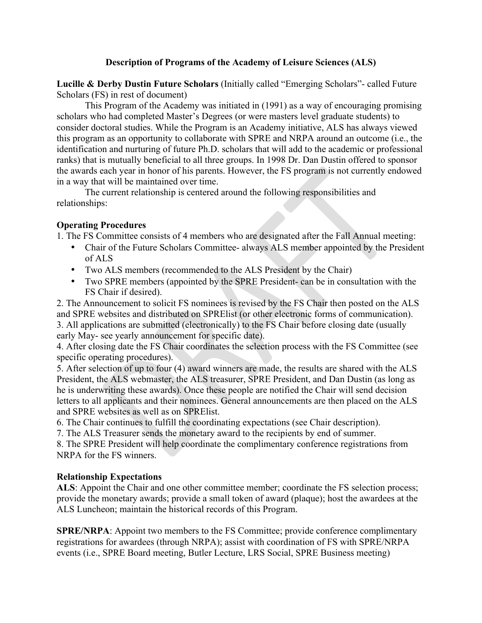### **Description of Programs of the Academy of Leisure Sciences (ALS)**

**Lucille & Derby Dustin Future Scholars** (Initially called "Emerging Scholars"- called Future Scholars (FS) in rest of document)

This Program of the Academy was initiated in (1991) as a way of encouraging promising scholars who had completed Master's Degrees (or were masters level graduate students) to consider doctoral studies. While the Program is an Academy initiative, ALS has always viewed this program as an opportunity to collaborate with SPRE and NRPA around an outcome (i.e., the identification and nurturing of future Ph.D. scholars that will add to the academic or professional ranks) that is mutually beneficial to all three groups. In 1998 Dr. Dan Dustin offered to sponsor the awards each year in honor of his parents. However, the FS program is not currently endowed in a way that will be maintained over time.

The current relationship is centered around the following responsibilities and relationships:

### **Operating Procedures**

1. The FS Committee consists of 4 members who are designated after the Fall Annual meeting:

- Chair of the Future Scholars Committee- always ALS member appointed by the President of ALS
- Two ALS members (recommended to the ALS President by the Chair)
- Two SPRE members (appointed by the SPRE President- can be in consultation with the FS Chair if desired).

2. The Announcement to solicit FS nominees is revised by the FS Chair then posted on the ALS and SPRE websites and distributed on SPRElist (or other electronic forms of communication). 3. All applications are submitted (electronically) to the FS Chair before closing date (usually early May- see yearly announcement for specific date).

4. After closing date the FS Chair coordinates the selection process with the FS Committee (see specific operating procedures).

5. After selection of up to four (4) award winners are made, the results are shared with the ALS President, the ALS webmaster, the ALS treasurer, SPRE President, and Dan Dustin (as long as he is underwriting these awards). Once these people are notified the Chair will send decision letters to all applicants and their nominees. General announcements are then placed on the ALS and SPRE websites as well as on SPRElist.

6. The Chair continues to fulfill the coordinating expectations (see Chair description).

7. The ALS Treasurer sends the monetary award to the recipients by end of summer.

8. The SPRE President will help coordinate the complimentary conference registrations from NRPA for the FS winners.

### **Relationship Expectations**

**ALS**: Appoint the Chair and one other committee member; coordinate the FS selection process; provide the monetary awards; provide a small token of award (plaque); host the awardees at the ALS Luncheon; maintain the historical records of this Program.

**SPRE/NRPA:** Appoint two members to the FS Committee; provide conference complimentary registrations for awardees (through NRPA); assist with coordination of FS with SPRE/NRPA events (i.e., SPRE Board meeting, Butler Lecture, LRS Social, SPRE Business meeting)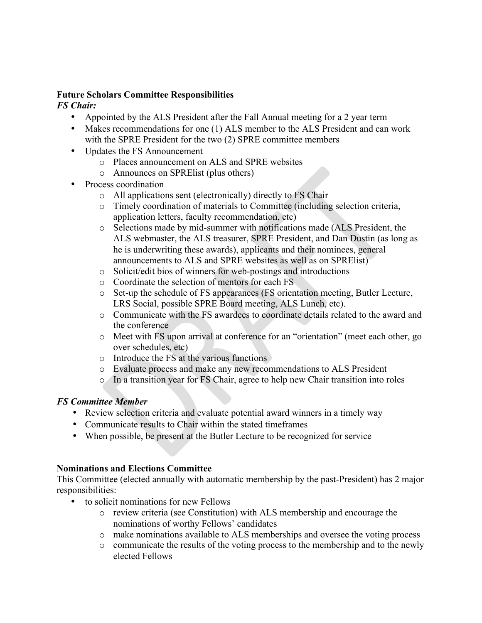### **Future Scholars Committee Responsibilities**

### *FS Chair:*

- Appointed by the ALS President after the Fall Annual meeting for a 2 year term
- Makes recommendations for one (1) ALS member to the ALS President and can work with the SPRE President for the two (2) SPRE committee members
- Updates the FS Announcement
	- o Places announcement on ALS and SPRE websites
	- o Announces on SPRElist (plus others)
- Process coordination
	- o All applications sent (electronically) directly to FS Chair
	- o Timely coordination of materials to Committee (including selection criteria, application letters, faculty recommendation, etc)
	- o Selections made by mid-summer with notifications made (ALS President, the ALS webmaster, the ALS treasurer, SPRE President, and Dan Dustin (as long as he is underwriting these awards), applicants and their nominees, general announcements to ALS and SPRE websites as well as on SPRElist)
	- o Solicit/edit bios of winners for web-postings and introductions
	- o Coordinate the selection of mentors for each FS
	- o Set-up the schedule of FS appearances (FS orientation meeting, Butler Lecture, LRS Social, possible SPRE Board meeting, ALS Lunch, etc).
	- o Communicate with the FS awardees to coordinate details related to the award and the conference
	- o Meet with FS upon arrival at conference for an "orientation" (meet each other, go over schedules, etc)
	- o Introduce the FS at the various functions
	- o Evaluate process and make any new recommendations to ALS President
	- o In a transition year for FS Chair, agree to help new Chair transition into roles

# *FS Committee Member*

- Review selection criteria and evaluate potential award winners in a timely way
- Communicate results to Chair within the stated timeframes
- When possible, be present at the Butler Lecture to be recognized for service

# **Nominations and Elections Committee**

This Committee (elected annually with automatic membership by the past-President) has 2 major responsibilities:

- to solicit nominations for new Fellows
	- o review criteria (see Constitution) with ALS membership and encourage the nominations of worthy Fellows' candidates
	- o make nominations available to ALS memberships and oversee the voting process
	- o communicate the results of the voting process to the membership and to the newly elected Fellows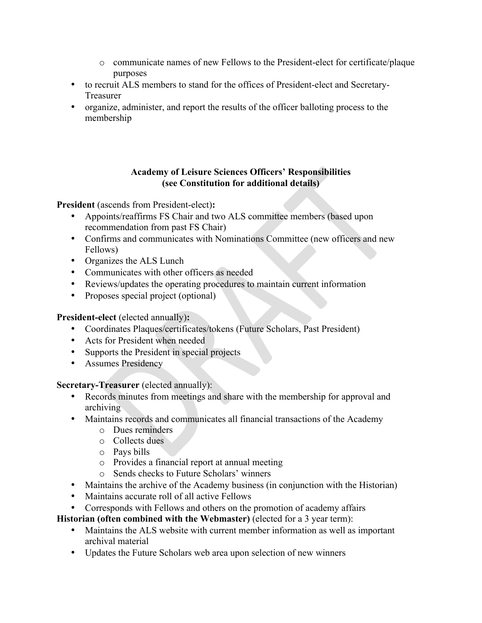- o communicate names of new Fellows to the President-elect for certificate/plaque purposes
- to recruit ALS members to stand for the offices of President-elect and Secretary-Treasurer
- organize, administer, and report the results of the officer balloting process to the membership

### **Academy of Leisure Sciences Officers' Responsibilities (see Constitution for additional details)**

**President** (ascends from President-elect)**:**

- Appoints/reaffirms FS Chair and two ALS committee members (based upon recommendation from past FS Chair)
- Confirms and communicates with Nominations Committee (new officers and new Fellows)
- Organizes the ALS Lunch
- Communicates with other officers as needed
- Reviews/updates the operating procedures to maintain current information
- Proposes special project (optional)

### **President-elect** (elected annually)**:**

- Coordinates Plaques/certificates/tokens (Future Scholars, Past President)
- Acts for President when needed
- Supports the President in special projects
- Assumes Presidency

### **Secretary-Treasurer** (elected annually):

- Records minutes from meetings and share with the membership for approval and archiving
- Maintains records and communicates all financial transactions of the Academy
	- o Dues reminders
	- o Collects dues
	- o Pays bills
	- o Provides a financial report at annual meeting
	- o Sends checks to Future Scholars' winners
- Maintains the archive of the Academy business (in conjunction with the Historian)
- Maintains accurate roll of all active Fellows
- Corresponds with Fellows and others on the promotion of academy affairs

**Historian (often combined with the Webmaster)** (elected for a 3 year term):

- Maintains the ALS website with current member information as well as important archival material
- Updates the Future Scholars web area upon selection of new winners